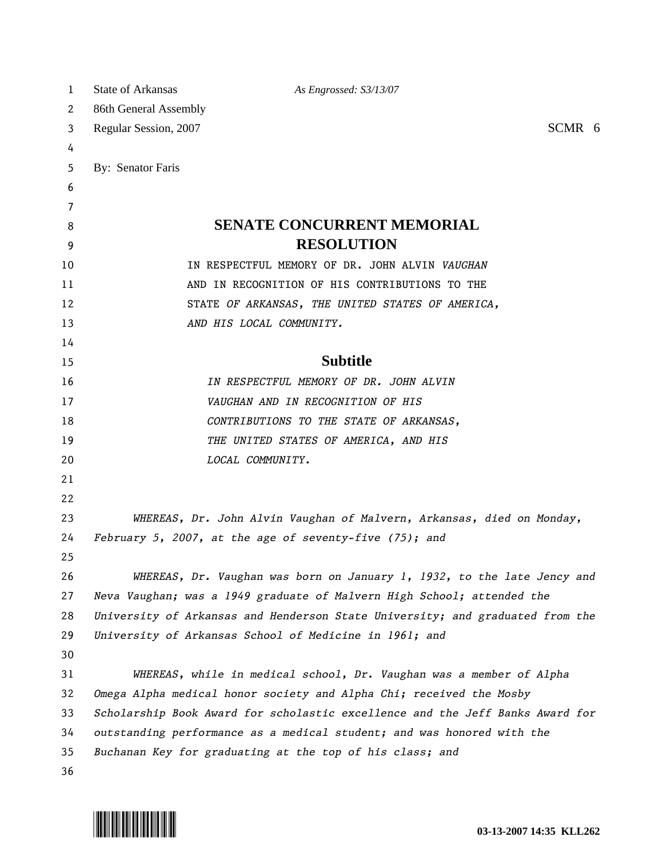| 1  | State of Arkansas                                                             | As Engrossed: S3/13/07                                                        |  |
|----|-------------------------------------------------------------------------------|-------------------------------------------------------------------------------|--|
| 2  | 86th General Assembly                                                         |                                                                               |  |
| 3  | SCMR 6<br>Regular Session, 2007                                               |                                                                               |  |
| 4  |                                                                               |                                                                               |  |
| 5  | By: Senator Faris                                                             |                                                                               |  |
| 6  |                                                                               |                                                                               |  |
| 7  |                                                                               |                                                                               |  |
| 8  |                                                                               | <b>SENATE CONCURRENT MEMORIAL</b>                                             |  |
| 9  |                                                                               | <b>RESOLUTION</b>                                                             |  |
| 10 |                                                                               | IN RESPECTFUL MEMORY OF DR. JOHN ALVIN VAUGHAN                                |  |
| 11 |                                                                               | AND IN RECOGNITION OF HIS CONTRIBUTIONS TO THE                                |  |
| 12 |                                                                               | STATE OF ARKANSAS, THE UNITED STATES OF AMERICA,                              |  |
| 13 |                                                                               | AND HIS LOCAL COMMUNITY.                                                      |  |
| 14 |                                                                               |                                                                               |  |
| 15 |                                                                               | <b>Subtitle</b>                                                               |  |
| 16 |                                                                               | IN RESPECTFUL MEMORY OF DR. JOHN ALVIN                                        |  |
| 17 |                                                                               | VAUGHAN AND IN RECOGNITION OF HIS                                             |  |
| 18 |                                                                               | CONTRIBUTIONS TO THE STATE OF ARKANSAS,                                       |  |
| 19 |                                                                               | THE UNITED STATES OF AMERICA, AND HIS                                         |  |
| 20 |                                                                               | LOCAL COMMUNITY.                                                              |  |
| 21 |                                                                               |                                                                               |  |
| 22 |                                                                               |                                                                               |  |
| 23 | WHEREAS, Dr. John Alvin Vaughan of Malvern, Arkansas, died on Monday,         |                                                                               |  |
| 24 |                                                                               | February 5, 2007, at the age of seventy-five (75); and                        |  |
| 25 |                                                                               |                                                                               |  |
| 26 |                                                                               | WHEREAS, Dr. Vaughan was born on January 1, 1932, to the late Jency and       |  |
| 27 | Neva Vaughan; was a 1949 graduate of Malvern High School; attended the        |                                                                               |  |
| 28 |                                                                               | University of Arkansas and Henderson State University; and graduated from the |  |
| 29 |                                                                               | University of Arkansas School of Medicine in 1961; and                        |  |
| 30 |                                                                               |                                                                               |  |
| 31 |                                                                               | WHEREAS, while in medical school, Dr. Vaughan was a member of Alpha           |  |
| 32 |                                                                               | Omega Alpha medical honor society and Alpha Chi; received the Mosby           |  |
| 33 | Scholarship Book Award for scholastic excellence and the Jeff Banks Award for |                                                                               |  |
| 34 | outstanding performance as a medical student; and was honored with the        |                                                                               |  |
| 35 |                                                                               | Buchanan Key for graduating at the top of his class; and                      |  |
| 36 |                                                                               |                                                                               |  |

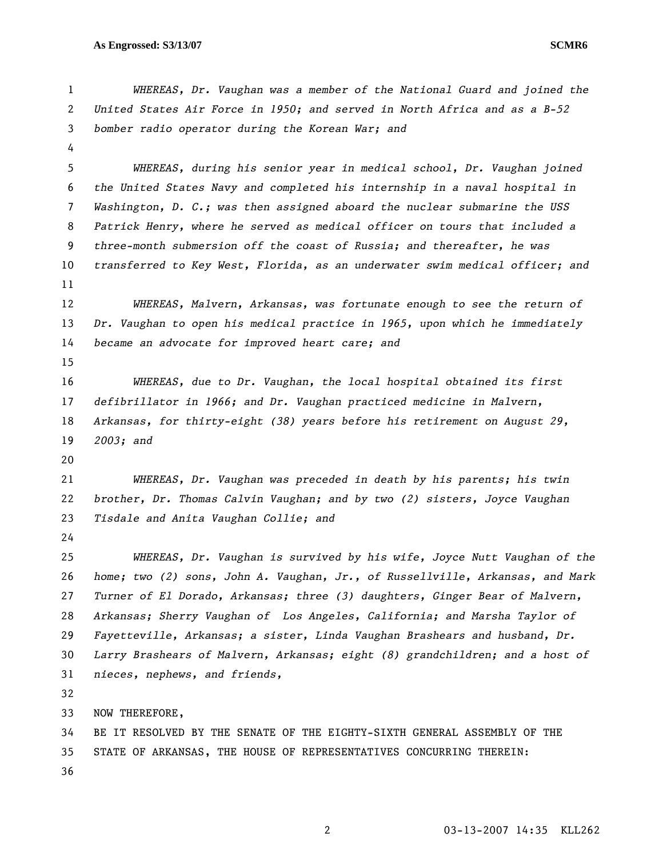```
1 WHEREAS, Dr. Vaughan was a member of the National Guard and joined the 
2 United States Air Force in 1950; and served in North Africa and as a B-52 
3 bomber radio operator during the Korean War; and 
 4 
5 WHEREAS, during his senior year in medical school, Dr. Vaughan joined 
6 the United States Navy and completed his internship in a naval hospital in 
7 Washington, D. C.; was then assigned aboard the nuclear submarine the USS 
8 Patrick Henry, where he served as medical officer on tours that included a 
9 three-month submersion off the coast of Russia; and thereafter, he was 
10 transferred to Key West, Florida, as an underwater swim medical officer; and 
11 
12 WHEREAS, Malvern, Arkansas, was fortunate enough to see the return of 
13 Dr. Vaughan to open his medical practice in 1965, upon which he immediately 
14 became an advocate for improved heart care; and 
15 
16 WHEREAS, due to Dr. Vaughan, the local hospital obtained its first 
17 defibrillator in 1966; and Dr. Vaughan practiced medicine in Malvern, 
18 Arkansas, for thirty-eight (38) years before his retirement on August 29, 
19 2003; and 
20 
21 WHEREAS, Dr. Vaughan was preceded in death by his parents; his twin 
22 brother, Dr. Thomas Calvin Vaughan; and by two (2) sisters, Joyce Vaughan 
23 Tisdale and Anita Vaughan Collie; and 
24 
25 WHEREAS, Dr. Vaughan is survived by his wife, Joyce Nutt Vaughan of the 
26 home; two (2) sons, John A. Vaughan, Jr., of Russellville, Arkansas, and Mark 
27 Turner of El Dorado, Arkansas; three (3) daughters, Ginger Bear of Malvern, 
28 Arkansas; Sherry Vaughan of Los Angeles, California; and Marsha Taylor of 
29 Fayetteville, Arkansas; a sister, Linda Vaughan Brashears and husband, Dr. 
30 Larry Brashears of Malvern, Arkansas; eight (8) grandchildren; and a host of 
31 nieces, nephews, and friends,
32 
33 NOW THEREFORE, 
34 BE IT RESOLVED BY THE SENATE OF THE EIGHTY-SIXTH GENERAL ASSEMBLY OF THE 
35 STATE OF ARKANSAS, THE HOUSE OF REPRESENTATIVES CONCURRING THEREIN: 
36
```